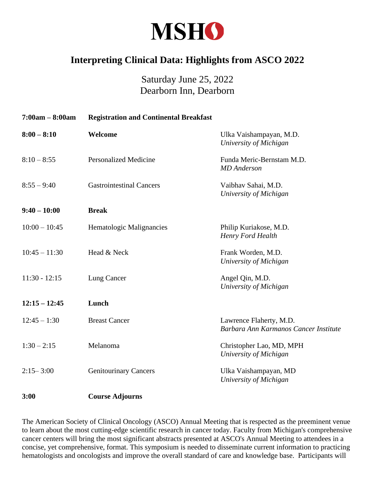

## **Interpreting Clinical Data: Highlights from ASCO 2022**

## Saturday June 25, 2022 Dearborn Inn, Dearborn

| $7:00am - 8:00am$ | <b>Registration and Continental Breakfast</b> |                                                                  |
|-------------------|-----------------------------------------------|------------------------------------------------------------------|
| $8:00 - 8:10$     | Welcome                                       | Ulka Vaishampayan, M.D.<br>University of Michigan                |
| $8:10 - 8:55$     | <b>Personalized Medicine</b>                  | Funda Meric-Bernstam M.D.<br><b>MD</b> Anderson                  |
| $8:55 - 9:40$     | <b>Gastrointestinal Cancers</b>               | Vaibhav Sahai, M.D.<br>University of Michigan                    |
| $9:40 - 10:00$    | <b>Break</b>                                  |                                                                  |
| $10:00 - 10:45$   | Hematologic Malignancies                      | Philip Kuriakose, M.D.<br>Henry Ford Health                      |
| $10:45 - 11:30$   | Head & Neck                                   | Frank Worden, M.D.<br>University of Michigan                     |
| $11:30 - 12:15$   | Lung Cancer                                   | Angel Qin, M.D.<br>University of Michigan                        |
| $12:15 - 12:45$   | Lunch                                         |                                                                  |
| $12:45 - 1:30$    | <b>Breast Cancer</b>                          | Lawrence Flaherty, M.D.<br>Barbara Ann Karmanos Cancer Institute |
| $1:30 - 2:15$     | Melanoma                                      | Christopher Lao, MD, MPH<br>University of Michigan               |
| $2:15 - 3:00$     | <b>Genitourinary Cancers</b>                  | Ulka Vaishampayan, MD<br>University of Michigan                  |
| 3:00              | <b>Course Adjourns</b>                        |                                                                  |

The American Society of Clinical Oncology (ASCO) Annual Meeting that is respected as the preeminent venue to learn about the most cutting-edge scientific research in cancer today. Faculty from Michigan's comprehensive cancer centers will bring the most significant abstracts presented at ASCO's Annual Meeting to attendees in a concise, yet comprehensive, format. This symposium is needed to disseminate current information to practicing hematologists and oncologists and improve the overall standard of care and knowledge base. Participants will